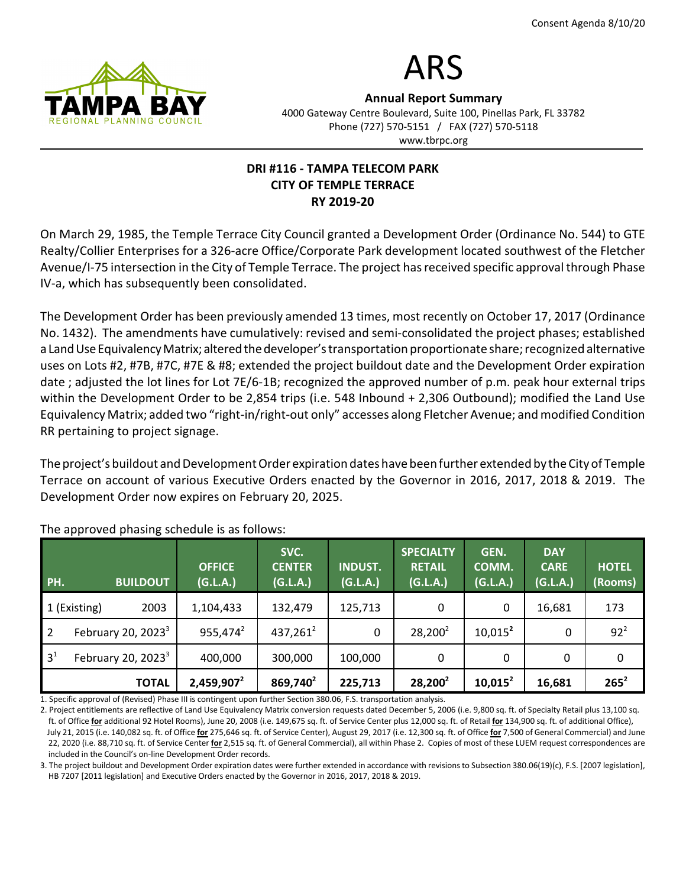

# ARS

Annual Report Summary 4000 Gateway Centre Boulevard, Suite 100, Pinellas Park, FL 33782 Phone (727) 570-5151 / FAX (727) 570-5118 www.tbrpc.org

# DRI #116 - TAMPA TELECOM PARK CITY OF TEMPLE TERRACE RY 2019-20

On March 29, 1985, the Temple Terrace City Council granted a Development Order (Ordinance No. 544) to GTE Realty/Collier Enterprises for a 326-acre Office/Corporate Park development located southwest of the Fletcher Avenue/I-75 intersection in the City of Temple Terrace. The project has received specific approval through Phase IV-a, which has subsequently been consolidated.

The Development Order has been previously amended 13 times, most recently on October 17, 2017 (Ordinance No. 1432). The amendments have cumulatively: revised and semi-consolidated the project phases; established a Land Use Equivalency Matrix; altered the developer's transportation proportionate share; recognized alternative uses on Lots #2, #7B, #7C, #7E & #8; extended the project buildout date and the Development Order expiration date ; adjusted the lot lines for Lot 7E/6-1B; recognized the approved number of p.m. peak hour external trips within the Development Order to be 2,854 trips (i.e. 548 Inbound + 2,306 Outbound); modified the Land Use Equivalency Matrix; added two "right-in/right-out only" accesses along Fletcher Avenue; and modified Condition RR pertaining to project signage.

The project's buildout and Development Order expiration dates have been further extended by the City of Temple Terrace on account of various Executive Orders enacted by the Governor in 2016, 2017, 2018 & 2019. The Development Order now expires on February 20, 2025.

| PH.                                     | <b>BUILDOUT</b>      | <b>OFFICE</b><br>(G.L.A.) | SVC.<br><b>CENTER</b><br>(G.L.A.) | <b>INDUST.</b><br>(G.L.A.) | <b>SPECIALTY</b><br><b>RETAIL</b><br>(G.L.A.) | GEN.<br>COMM.<br>(G.L.A.) | <b>DAY</b><br><b>CARE</b><br>(G.L.A.) | <b>HOTEL</b><br>(Rooms) |
|-----------------------------------------|----------------------|---------------------------|-----------------------------------|----------------------------|-----------------------------------------------|---------------------------|---------------------------------------|-------------------------|
| 1 (Existing)                            | 2003                 | 1,104,433                 | 132,479                           | 125,713                    | 0                                             | 0                         | 16,681                                | 173                     |
| February 20, 2023 $3$<br>$\overline{2}$ |                      | 955,474 <sup>2</sup>      | $437,261^2$                       | 0                          | $28,200^2$                                    | $10,015^2$                | 0                                     | $92^2$                  |
| 3 <sup>1</sup>                          | February 20, $20233$ | 400,000                   | 300,000                           | 100,000                    | 0                                             | 0                         | 0                                     | 0                       |
|                                         | <b>TOTAL</b>         | $2,459,907^2$             | 869,740 <sup>2</sup>              | 225,713                    | $28,200^2$                                    | $10,015^2$                | 16,681                                | $265^2$                 |

The approved phasing schedule is as follows:

1. Specific approval of (Revised) Phase III is contingent upon further Section 380.06, F.S. transportation analysis.

2. Project entitlements are reflective of Land Use Equivalency Matrix conversion requests dated December 5, 2006 (i.e. 9,800 sq. ft. of Specialty Retail plus 13,100 sq. ft. of Office for additional 92 Hotel Rooms), June 20, 2008 (i.e. 149,675 sq. ft. of Service Center plus 12,000 sq. ft. of Retail for 134,900 sq. ft. of additional Office), July 21, 2015 (i.e. 140,082 sq. ft. of Office for 275,646 sq. ft. of Service Center), August 29, 2017 (i.e. 12,300 sq. ft. of Office for 7,500 of General Commercial) and June 22, 2020 (i.e. 88,710 sq. ft. of Service Center for 2,515 sq. ft. of General Commercial), all within Phase 2. Copies of most of these LUEM request correspondences are included in the Council's on-line Development Order records.

3. The project buildout and Development Order expiration dates were further extended in accordance with revisions to Subsection 380.06(19)(c), F.S. [2007 legislation], HB 7207 [2011 legislation] and Executive Orders enacted by the Governor in 2016, 2017, 2018 & 2019.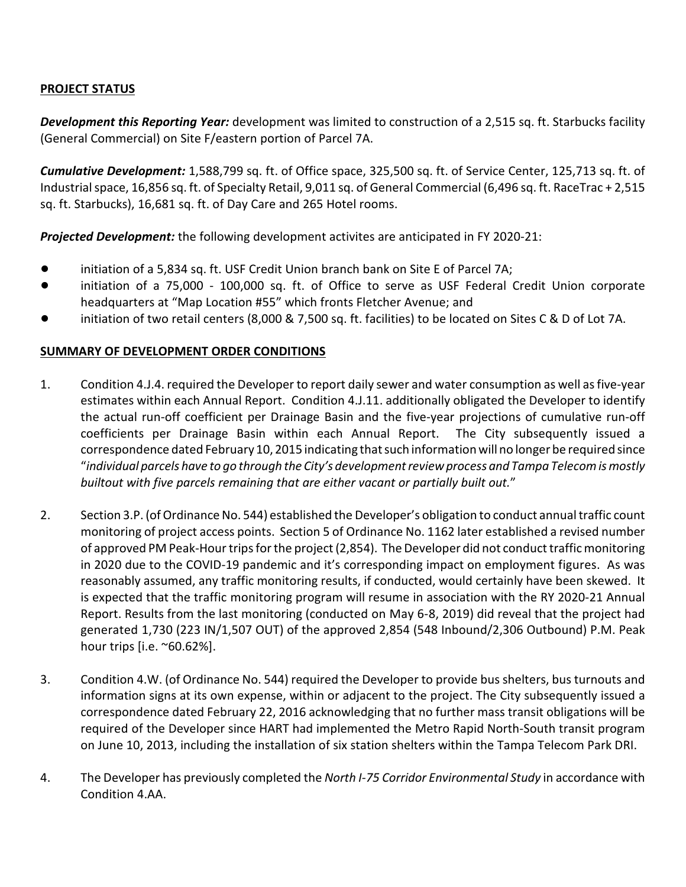# PROJECT STATUS

**Development this Reporting Year:** development was limited to construction of a 2,515 sq. ft. Starbucks facility (General Commercial) on Site F/eastern portion of Parcel 7A.

Cumulative Development: 1,588,799 sq. ft. of Office space, 325,500 sq. ft. of Service Center, 125,713 sq. ft. of Industrial space, 16,856 sq. ft. of Specialty Retail, 9,011 sq. of General Commercial (6,496 sq. ft. RaceTrac + 2,515 sq. ft. Starbucks), 16,681 sq. ft. of Day Care and 265 Hotel rooms.

**Projected Development:** the following development activites are anticipated in FY 2020-21:

- initiation of a 5,834 sq. ft. USF Credit Union branch bank on Site E of Parcel 7A;
- ! initiation of a 75,000 100,000 sq. ft. of Office to serve as USF Federal Credit Union corporate headquarters at "Map Location #55" which fronts Fletcher Avenue; and
- initiation of two retail centers (8,000 & 7,500 sq. ft. facilities) to be located on Sites C & D of Lot 7A.

## SUMMARY OF DEVELOPMENT ORDER CONDITIONS

- 1. Condition 4.J.4. required the Developer to report daily sewer and water consumption as well as five-year estimates within each Annual Report. Condition 4.J.11. additionally obligated the Developer to identify the actual run-off coefficient per Drainage Basin and the five-year projections of cumulative run-off coefficients per Drainage Basin within each Annual Report. The City subsequently issued a correspondence dated February 10, 2015 indicating that such information will no longer be required since "individual parcels have to go through the City's development review process and Tampa Telecom is mostly builtout with five parcels remaining that are either vacant or partially built out."
- 2. Section 3.P. (of Ordinance No. 544) established the Developer's obligation to conduct annual traffic count monitoring of project access points. Section 5 of Ordinance No. 1162 later established a revised number of approved PM Peak-Hour trips for the project (2,854). The Developer did not conduct traffic monitoring in 2020 due to the COVID-19 pandemic and it's corresponding impact on employment figures. As was reasonably assumed, any traffic monitoring results, if conducted, would certainly have been skewed. It is expected that the traffic monitoring program will resume in association with the RY 2020-21 Annual Report. Results from the last monitoring (conducted on May 6-8, 2019) did reveal that the project had generated 1,730 (223 IN/1,507 OUT) of the approved 2,854 (548 Inbound/2,306 Outbound) P.M. Peak hour trips [i.e. ~60.62%].
- 3. Condition 4.W. (of Ordinance No. 544) required the Developer to provide bus shelters, bus turnouts and information signs at its own expense, within or adjacent to the project. The City subsequently issued a correspondence dated February 22, 2016 acknowledging that no further mass transit obligations will be required of the Developer since HART had implemented the Metro Rapid North-South transit program on June 10, 2013, including the installation of six station shelters within the Tampa Telecom Park DRI.
- 4. The Developer has previously completed the North I-75 Corridor Environmental Study in accordance with Condition 4.AA.